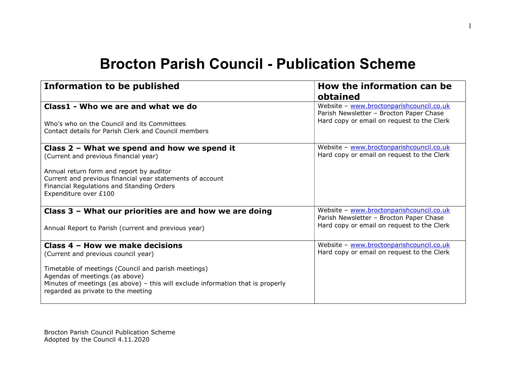## Brocton Parish Council - Publication Scheme

| <b>Information to be published</b>                                                                                                                                                                                                                                                       | How the information can be<br>obtained                                                                                            |
|------------------------------------------------------------------------------------------------------------------------------------------------------------------------------------------------------------------------------------------------------------------------------------------|-----------------------------------------------------------------------------------------------------------------------------------|
| Class1 - Who we are and what we do<br>Who's who on the Council and its Committees<br>Contact details for Parish Clerk and Council members                                                                                                                                                | Website - www.broctonparishcouncil.co.uk<br>Parish Newsletter - Brocton Paper Chase<br>Hard copy or email on request to the Clerk |
| Class 2 - What we spend and how we spend it<br>(Current and previous financial year)<br>Annual return form and report by auditor<br>Current and previous financial year statements of account<br>Financial Regulations and Standing Orders<br>Expenditure over £100                      | Website - www.broctonparishcouncil.co.uk<br>Hard copy or email on request to the Clerk                                            |
| Class 3 - What our priorities are and how we are doing<br>Annual Report to Parish (current and previous year)                                                                                                                                                                            | Website - www.broctonparishcouncil.co.uk<br>Parish Newsletter - Brocton Paper Chase<br>Hard copy or email on request to the Clerk |
| Class 4 - How we make decisions<br>(Current and previous council year)<br>Timetable of meetings (Council and parish meetings)<br>Agendas of meetings (as above)<br>Minutes of meetings (as above) - this will exclude information that is properly<br>regarded as private to the meeting | Website - www.broctonparishcouncil.co.uk<br>Hard copy or email on request to the Clerk                                            |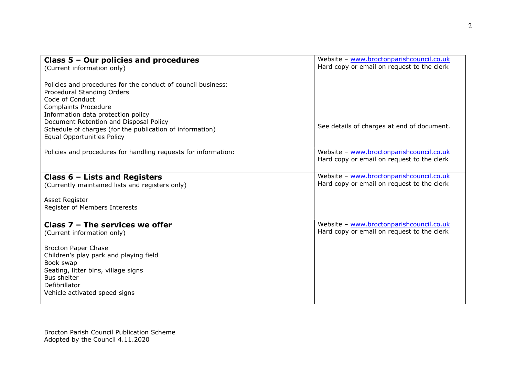| (Current information only)<br>Policies and procedures for the conduct of council business:<br>Procedural Standing Orders<br>Code of Conduct<br><b>Complaints Procedure</b><br>Information data protection policy<br>Document Retention and Disposal Policy<br>See details of charges at end of document.<br>Schedule of charges (for the publication of information)<br><b>Equal Opportunities Policy</b><br>Policies and procedures for handling requests for information:<br>Website - www.broctonparishcouncil.co.uk<br>Hard copy or email on request to the clerk<br>Website - www.broctonparishcouncil.co.uk<br>Class $6$ – Lists and Registers<br>Hard copy or email on request to the clerk<br>(Currently maintained lists and registers only)<br>Asset Register<br>Register of Members Interests<br>Class $7 -$ The services we offer<br>Website - www.broctonparishcouncil.co.uk | Class $5 -$ Our policies and procedures | Website - www.broctonparishcouncil.co.uk   |
|-------------------------------------------------------------------------------------------------------------------------------------------------------------------------------------------------------------------------------------------------------------------------------------------------------------------------------------------------------------------------------------------------------------------------------------------------------------------------------------------------------------------------------------------------------------------------------------------------------------------------------------------------------------------------------------------------------------------------------------------------------------------------------------------------------------------------------------------------------------------------------------------|-----------------------------------------|--------------------------------------------|
|                                                                                                                                                                                                                                                                                                                                                                                                                                                                                                                                                                                                                                                                                                                                                                                                                                                                                           |                                         | Hard copy or email on request to the clerk |
|                                                                                                                                                                                                                                                                                                                                                                                                                                                                                                                                                                                                                                                                                                                                                                                                                                                                                           |                                         |                                            |
|                                                                                                                                                                                                                                                                                                                                                                                                                                                                                                                                                                                                                                                                                                                                                                                                                                                                                           |                                         |                                            |
|                                                                                                                                                                                                                                                                                                                                                                                                                                                                                                                                                                                                                                                                                                                                                                                                                                                                                           |                                         |                                            |
|                                                                                                                                                                                                                                                                                                                                                                                                                                                                                                                                                                                                                                                                                                                                                                                                                                                                                           |                                         |                                            |
|                                                                                                                                                                                                                                                                                                                                                                                                                                                                                                                                                                                                                                                                                                                                                                                                                                                                                           |                                         |                                            |
|                                                                                                                                                                                                                                                                                                                                                                                                                                                                                                                                                                                                                                                                                                                                                                                                                                                                                           |                                         |                                            |
|                                                                                                                                                                                                                                                                                                                                                                                                                                                                                                                                                                                                                                                                                                                                                                                                                                                                                           |                                         |                                            |
|                                                                                                                                                                                                                                                                                                                                                                                                                                                                                                                                                                                                                                                                                                                                                                                                                                                                                           |                                         |                                            |
|                                                                                                                                                                                                                                                                                                                                                                                                                                                                                                                                                                                                                                                                                                                                                                                                                                                                                           |                                         |                                            |
|                                                                                                                                                                                                                                                                                                                                                                                                                                                                                                                                                                                                                                                                                                                                                                                                                                                                                           |                                         |                                            |
|                                                                                                                                                                                                                                                                                                                                                                                                                                                                                                                                                                                                                                                                                                                                                                                                                                                                                           |                                         |                                            |
|                                                                                                                                                                                                                                                                                                                                                                                                                                                                                                                                                                                                                                                                                                                                                                                                                                                                                           |                                         |                                            |
|                                                                                                                                                                                                                                                                                                                                                                                                                                                                                                                                                                                                                                                                                                                                                                                                                                                                                           |                                         |                                            |
|                                                                                                                                                                                                                                                                                                                                                                                                                                                                                                                                                                                                                                                                                                                                                                                                                                                                                           |                                         |                                            |
|                                                                                                                                                                                                                                                                                                                                                                                                                                                                                                                                                                                                                                                                                                                                                                                                                                                                                           |                                         |                                            |
|                                                                                                                                                                                                                                                                                                                                                                                                                                                                                                                                                                                                                                                                                                                                                                                                                                                                                           |                                         |                                            |
|                                                                                                                                                                                                                                                                                                                                                                                                                                                                                                                                                                                                                                                                                                                                                                                                                                                                                           | (Current information only)              | Hard copy or email on request to the clerk |
| <b>Brocton Paper Chase</b>                                                                                                                                                                                                                                                                                                                                                                                                                                                                                                                                                                                                                                                                                                                                                                                                                                                                |                                         |                                            |
| Children's play park and playing field                                                                                                                                                                                                                                                                                                                                                                                                                                                                                                                                                                                                                                                                                                                                                                                                                                                    |                                         |                                            |
| Book swap                                                                                                                                                                                                                                                                                                                                                                                                                                                                                                                                                                                                                                                                                                                                                                                                                                                                                 |                                         |                                            |
| Seating, litter bins, village signs                                                                                                                                                                                                                                                                                                                                                                                                                                                                                                                                                                                                                                                                                                                                                                                                                                                       |                                         |                                            |
| <b>Bus shelter</b>                                                                                                                                                                                                                                                                                                                                                                                                                                                                                                                                                                                                                                                                                                                                                                                                                                                                        |                                         |                                            |
| Defibrillator                                                                                                                                                                                                                                                                                                                                                                                                                                                                                                                                                                                                                                                                                                                                                                                                                                                                             |                                         |                                            |
| Vehicle activated speed signs                                                                                                                                                                                                                                                                                                                                                                                                                                                                                                                                                                                                                                                                                                                                                                                                                                                             |                                         |                                            |